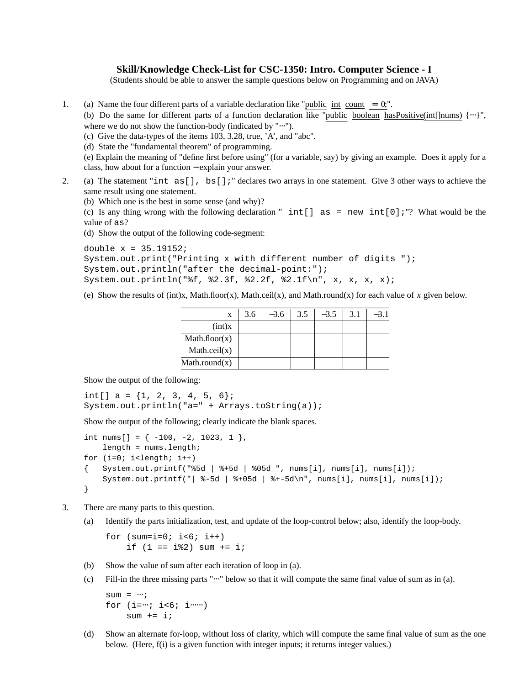## **Skill/Knowledge Check-List for CSC-1350: Intro. Computer Science - I**

(Students should be able to answer the sample questions below on Programming and on JAVA)

1. (a) Name the four different parts of a variable declaration like "public  $int$  count = 0;".

(b) Do the same for different parts of a function declaration like "public boolean hasPositive(int[]nums) {…}", where we do not show the function-body (indicated by "⋅⋅⋅").

(c) Give the data-types of the items 103, 3.28, true, 'A', and "abc".

(d) State the "fundamental theorem" of programming.

(e) Explain the meaning of "define first before using" (for a variable, say) by giving an example. Does it apply for a class, how about for a function − explain your answer.

2. (a) The statement "int as[], bs[];" declares two arrays in one statement. Give 3 other ways to achieve the same result using one statement.

(b) Which one is the best in some sense (and why)?

(c) Is any thing wrong with the following declaration "  $int[]$  as = new  $int[0]$ ;"? What would be the value of as?

(d) Show the output of the following code-segment:

```
double x = 35.19152;
System.out.print("Printing x with different number of digits ");
System.out.println("after the decimal-point:");
System.out.println("%f, %2.3f, %2.2f, %2.1f\n", x, x, x, x);
```
(e) Show the results of (int)x, Math.floor(x), Math.ceil(x), and Math.round(x) for each value of *x* given below.

| X             | 3.6 | $-3.6$ | 3.5 | $-3.5$ | 3.1 | $-3.1$ |
|---------------|-----|--------|-----|--------|-----|--------|
| (int)x        |     |        |     |        |     |        |
| Mathfloor(x)  |     |        |     |        |     |        |
| Math.ceil(x)  |     |        |     |        |     |        |
| Math.roomd(x) |     |        |     |        |     |        |

Show the output of the following:

int[]  $a = \{1, 2, 3, 4, 5, 6\}$ ; System.out.println("a=" + Arrays.toString(a));

Show the output of the following; clearly indicate the blank spaces.

```
int nums[] = \{-100, -2, 1023, 1\},
   length = nums.length;
for (i=0; i<1)ength; i++){ System.out.printf("%5d | %+5d | %05d ", nums[i], nums[i], nums[i]);
    System.out.printf("| -5d | +05d | -5d \nvert, nums[i], nums[i], nums[i]);
}
```
- 3. There are many parts to this question.
	- (a) Identify the parts initialization, test, and update of the loop-control below; also, identify the loop-body.

```
for (sum = i = 0; i < 6; i++)if (1 == i2) sum += i;
```
- (b) Show the value of sum after each iteration of loop in (a).
- (c) Fill-in the three missing parts " $\cdots$ " below so that it will compute the same final value of sum as in (a).

```
sum = \cdots;
for (i=...; i<6; i...)sum += i;
```
(d) Show an alternate for-loop, without loss of clarity, which will compute the same final value of sum as the one below. (Here,  $f(i)$  is a given function with integer inputs; it returns integer values.)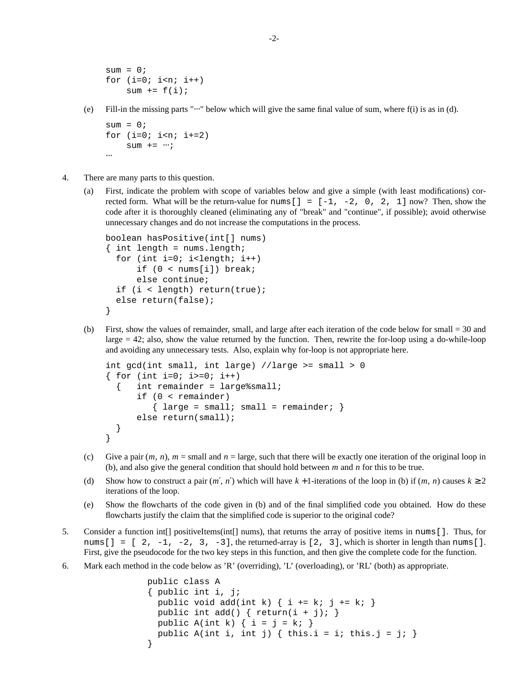```
sum = 0;for (i=0; i<n; i++)sum += f(i);
```
(e) Fill-in the missing parts "⋅⋅⋅" below which will give the same final value of sum, where f(i) is as in (d).

```
sum = 0;for (i=0; i<n; i+=2)sum + = \cdots;\cdot\cdot\cdot
```
- 4. There are many parts to this question.
	- (a) First, indicate the problem with scope of variables below and give a simple (with least modifications) corrected form. What will be the return-value for nums  $[$   $] = [-1, -2, 0, 2, 1]$  now? Then, show the code after it is thoroughly cleaned (eliminating any of "break" and "continue", if possible); avoid otherwise unnecessary changes and do not increase the computations in the process.

```
boolean hasPositive(int[] nums)
\{ int length = nums.length;
  for (int i=0; i<length; i++)
      if (0 < nums[i]) break;
      else continue;
  if (i < length) return(true);
  else return(false);
}
```
(b) First, show the values of remainder, small, and large after each iteration of the code below for small = 30 and large = 42; also, show the value returned by the function. Then, rewrite the for-loop using a do-while-loop and avoiding any unnecessary tests. Also, explain why for-loop is not appropriate here.

```
int gcd(int small, int large) //large >= small > 0
{ for (int i=0; i>=0; i++)
  { int remainder = large%small;
      if (0 < remainder)
         { large = small : small = remainder; }
      else return(small);
 }
}
```
- (c) Give a pair  $(m, n)$ ,  $m =$  small and  $n =$  large, such that there will be exactly one iteration of the original loop in (b), and also give the general condition that should hold between *m* and *n* for this to be true.
- (d) Show how to construct a pair  $(m', n')$  which will have  $k + 1$ -iterations of the loop in (b) if  $(m, n)$  causes  $k \ge 2$ iterations of the loop.
- (e) Show the flowcharts of the code given in (b) and of the final simplified code you obtained. How do these flowcharts justify the claim that the simplified code is superior to the original code?
- 5. Consider a function int[] positiveItems(int[] nums), that returns the array of positive items in nums[]. Thus, for nums  $[$   $] = [ 2, -1, -2, 3, -3]$ , the returned-array is  $[2, 3]$ , which is shorter in length than nums  $[$   $]$ . First, give the pseudocode for the two key steps in this function, and then give the complete code for the function.
- 6. Mark each method in the code below as 'R' (overriding), 'L' (overloading), or 'RL' (both) as appropriate.

```
public class A
{ public int i, j;
  public void add(int k) \{ i \leftarrow k : j \leftarrow k : \}public int add() { return(i + j);public A(int k) \{ i = j = k : \}public A(int i, int j) { this.i = i; this.j = j; }
}
```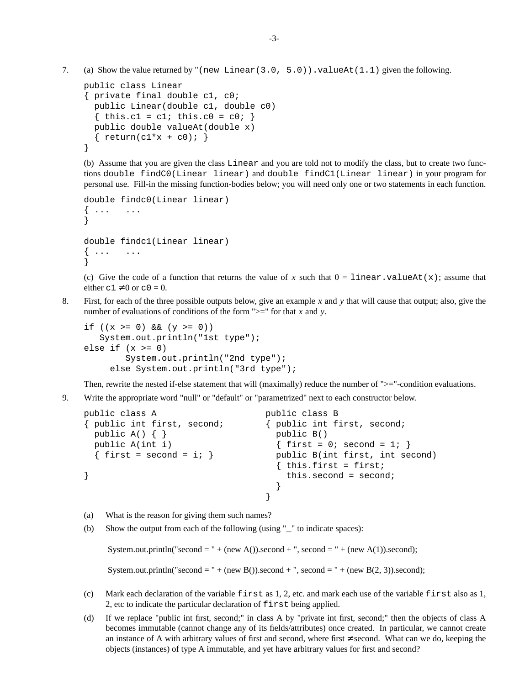7. (a) Show the value returned by "(new Linear(3.0, 5.0)). valueAt(1.1) given the following.

```
public class Linear
{ private final double c1, c0;
  public Linear(double c1, double c0)
  { this.c1 = c1; this.c0 = c0; }
  public double valueAt(double x)
  \{ return(c1*x + c0); \}}
```
(b) Assume that you are given the class Linear and you are told not to modify the class, but to create two functions double findC0(Linear linear) and double findC1(Linear linear) in your program for personal use. Fill-in the missing function-bodies below; you will need only one or two statements in each function.

```
double findc0(Linear linear)
\{ \ldots, \ldots \}}
double findc1(Linear linear)
\{ \ldots, \ldots \}}
```
(c) Give the code of a function that returns the value of x such that  $0 = \text{linear} \cdot \text{valueAt}(x)$ ; assume that either  $c1 \neq 0$  or  $c0 = 0$ .

8. First, for each of the three possible outputs below, give an example x and y that will cause that output; also, give the number of evaluations of conditions of the form ">=" for that *x* and *y*.

```
if ((x > = 0) \& (y > = 0))System.out.println("1st type");
else if (x \gt= 0)System.out.println("2nd type");
     else System.out.println("3rd type");
```
Then, rewrite the nested if-else statement that will (maximally) reduce the number of " $>=$ "-condition evaluations.

9. Write the appropriate word "null" or "default" or "parametrized" next to each constructor below.

```
public class A public class B
{ public int first, second; { public int first, second;
 public A() { } public B()
 public A(int i) { first = 0; second = 1; }
 \{ \text{first} = \text{second} = i; \} public B(int first, int second)
                           \{ this.first = first;} this.second = second;
                           }
                          }
```
- (a) What is the reason for giving them such names?
- (b) Show the output from each of the following (using "\_" to indicate spaces):

```
System.out.println("second = " + (new A()).second + ", second = " + (new A(1)).second);
```
System.out.println("second = " + (new B()).second + ", second = " + (new B(2, 3)).second);

- (c) Mark each declaration of the variable first as 1, 2, etc. and mark each use of the variable first also as 1, 2, etc to indicate the particular declaration of first being applied.
- (d) If we replace "public int first, second;" in class A by "private int first, second;" then the objects of class A becomes immutable (cannot change any of its fields/attributes) once created. In particular, we cannot create an instance of A with arbitrary values of first and second, where first ≠ second. What can we do, keeping the objects (instances) of type A immutable, and yet have arbitrary values for first and second?